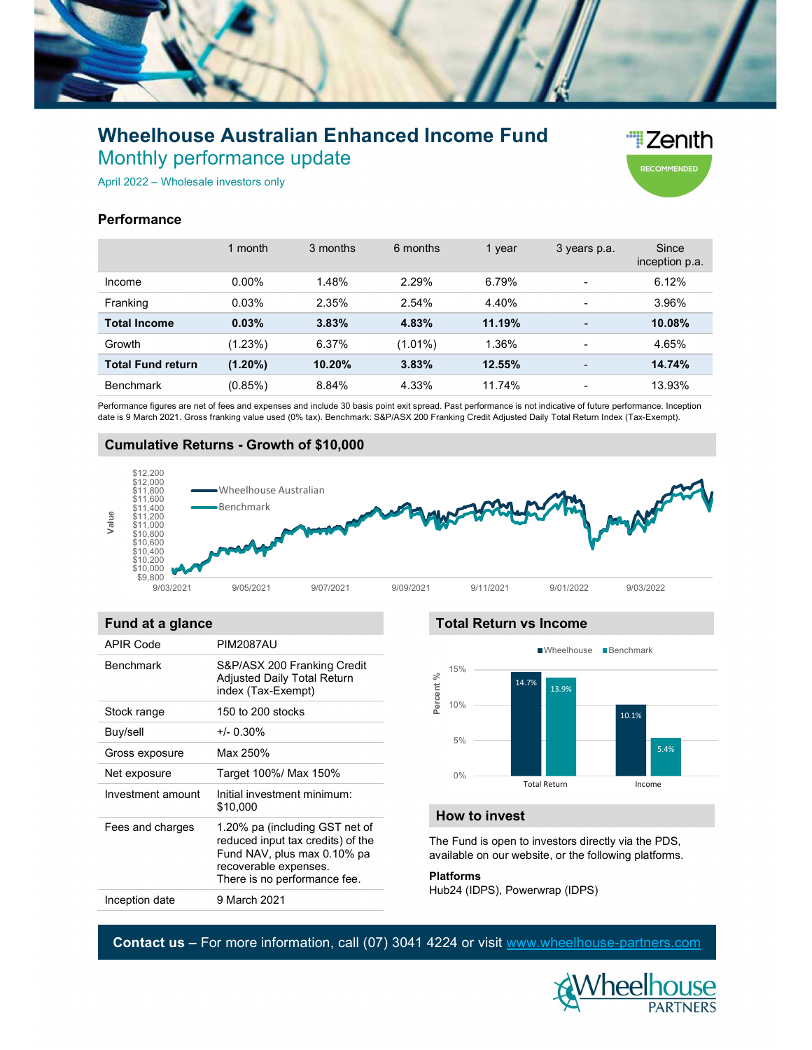

# Wheelhouse Australian Enhanced Income Fund Monthly performance update



April 2022 – Wholesale investors only

# **Performance**

|                     |                                                                                                                                                                                                                        | 1 month                                           | 3 months  | 6 months   | 1 year                        | 3 years p.a.             | Since<br>inception p.a. |
|---------------------|------------------------------------------------------------------------------------------------------------------------------------------------------------------------------------------------------------------------|---------------------------------------------------|-----------|------------|-------------------------------|--------------------------|-------------------------|
|                     | Income                                                                                                                                                                                                                 | 0.00%                                             | 1.48%     | 2.29%      | 6.79%                         | $\overline{\phantom{0}}$ | 6.12%                   |
|                     | Franking                                                                                                                                                                                                               | 0.03%                                             | 2.35%     | 2.54%      | 4.40%                         | ٠                        | 3.96%                   |
| <b>Total Income</b> |                                                                                                                                                                                                                        | 0.03%                                             | 3.83%     | 4.83%      | 11.19%                        | $\overline{\phantom{0}}$ | 10.08%                  |
| Growth              |                                                                                                                                                                                                                        | (1.23%)                                           | 6.37%     | $(1.01\%)$ | 1.36%                         | ٠                        | 4.65%                   |
|                     | <b>Total Fund return</b>                                                                                                                                                                                               | $(1.20\%)$                                        | 10.20%    | 3.83%      | 12.55%                        |                          | 14.74%                  |
|                     | <b>Benchmark</b>                                                                                                                                                                                                       | (0.85%)                                           | 8.84%     | 4.33%      | 11.74%                        |                          | 13.93%                  |
| Value               | <b>Cumulative Returns - Growth of \$10,000</b><br>\$12,200<br>\$12,000<br>\$11,800<br>\$11,600<br>\$11,400<br>\$11,200<br>\$11,000<br>\$10,800<br>\$10,600<br>\$10,400<br>\$10,200<br>\$10,000<br>\$9,800<br>9/03/2021 | -Wheelhouse Australian<br>•Benchmark<br>9/05/2021 | 9/07/2021 | 9/09/2021  | 9/11/2021                     | 9/01/2022                | 9/03/2022               |
|                     | Fund at a glance                                                                                                                                                                                                       |                                                   |           |            | <b>Total Return vs Income</b> |                          |                         |
| <b>APIR Code</b>    |                                                                                                                                                                                                                        | <b>PIM2087AU</b>                                  |           |            |                               | ■Wheelhouse ■Benchmark   |                         |
|                     | <b>Benchmark</b>                                                                                                                                                                                                       | S&P/ASX 200 Franking Credit                       |           |            | 15%                           |                          |                         |

# Cumulative Returns - Growth of \$10,000



## Fund at a glance

| <b>APIR Code</b>  | <b>PIM2087AU</b>                                                                                   |                                                                                                              |                                | ■Wheelhouse<br>$\blacksquare$ Benchmark |                     |               |  |  |  |
|-------------------|----------------------------------------------------------------------------------------------------|--------------------------------------------------------------------------------------------------------------|--------------------------------|-----------------------------------------|---------------------|---------------|--|--|--|
| <b>Benchmark</b>  | S&P/ASX 200 Franking Credit<br>Adjusted Daily Total Return<br>index (Tax-Exempt)                   | Percent %                                                                                                    | 15%                            |                                         | 14.7%<br>13.9%      |               |  |  |  |
| Stock range       | 150 to 200 stocks                                                                                  |                                                                                                              | 10%                            |                                         |                     | 10.1%<br>5.4% |  |  |  |
| Buy/sell          | $+/- 0.30\%$                                                                                       |                                                                                                              | 5%                             |                                         |                     |               |  |  |  |
| Gross exposure    | Max 250%                                                                                           |                                                                                                              |                                |                                         |                     |               |  |  |  |
| Net exposure      | Target 100%/ Max 150%                                                                              |                                                                                                              | 0%                             |                                         |                     |               |  |  |  |
| Investment amount | Initial investment minimum:<br>\$10,000                                                            |                                                                                                              |                                |                                         | <b>Total Return</b> | Income        |  |  |  |
| Fees and charges  | 1.20% pa (including GST net of                                                                     | How to invest                                                                                                |                                |                                         |                     |               |  |  |  |
|                   | reduced input tax credits) of the<br>Fund NAV, plus max 0.10% pa<br>recoverable expenses.          | The Fund is open to investors directly via the PDS,<br>available on our website, or the following platforms. |                                |                                         |                     |               |  |  |  |
|                   | There is no performance fee.                                                                       | <b>Platforms</b>                                                                                             |                                |                                         |                     |               |  |  |  |
| Inception date    | 9 March 2021                                                                                       |                                                                                                              | Hub24 (IDPS), Powerwrap (IDPS) |                                         |                     |               |  |  |  |
|                   |                                                                                                    |                                                                                                              |                                |                                         |                     |               |  |  |  |
|                   | <b>Contact us – For more information, call (07) 3041 4224 or visit www.wheelhouse-partners.com</b> |                                                                                                              |                                |                                         |                     |               |  |  |  |

### Total Return vs Income



# How to invest

#### Platforms